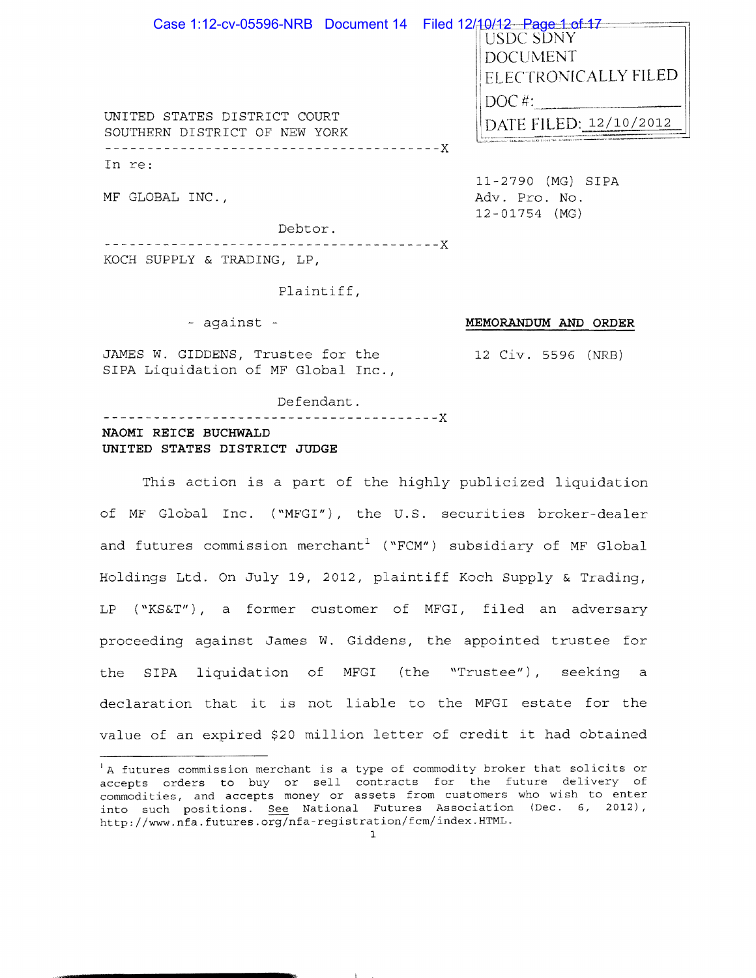| Case 1:12-cv-05596-NRB  Document 14  Filed 12/ <del>10/12  Page 1 of 1</del> |                              |
|------------------------------------------------------------------------------|------------------------------|
|                                                                              | <b>USDC SDNY</b>             |
|                                                                              | <b>DOCUMENT</b>              |
|                                                                              | <b>IELECTRONICALLY FILED</b> |
| UNITED STATES DISTRICT COURT<br>SOUTHERN DISTRICT OF NEW YORK                | $\overline{DOC}$ #           |
|                                                                              | DATE FILED: 12/10/2012       |
|                                                                              |                              |

In re:

MF GLOBAL INC.,

11-2790 (MG) SIPA Adv. Pro. No.  $12 - 01754$  (MG)

MEMORANDUM AND ORDER

12 Civ. 5596 (NRB)

Debtor. KOCH SUPPLY & TRADING, LP,

Plaintiff,

- against -

JAMES W. GIDDENS, Trustee for the SIPA Liquidation of MF Global Inc.,

Defendant.

NAOMI REICE BUCHWALD UNITED STATES DISTRICT JUDGE

This action is a part of the highly publicized liquidation of MF Global Inc. ("MFGI"), the U.S. securities broker-dealer and futures commission merchant<sup>1</sup> ("FCM") subsidiary of MF Global Holdings Ltd. On July 19, 2012, plaintiff Koch Supply & Trading, LP ("KS&T"), a former customer of MFGI, filed an adversary proceeding against James W. Giddens, the appointed trustee for the SIPA liquidation of MFGI (the "Trustee"), seeking a declaration that it is not liable to the MFGI estate for the value of an expired \$20 million letter of credit it had obtained

 $\ddot{\phantom{1}}$ 

<sup>&</sup>lt;sup>1</sup>A futures commission merchant is a type of commodity broker that solicits or accepts orders to buy or sell contracts for the future delivery of commodities, and accepts money or assets from customers who wish to enter into such positions. See National Futures Association (Dec. 6, 2012), http://www.nfa.futures.org/nfa-registration/fcm/index.HTML.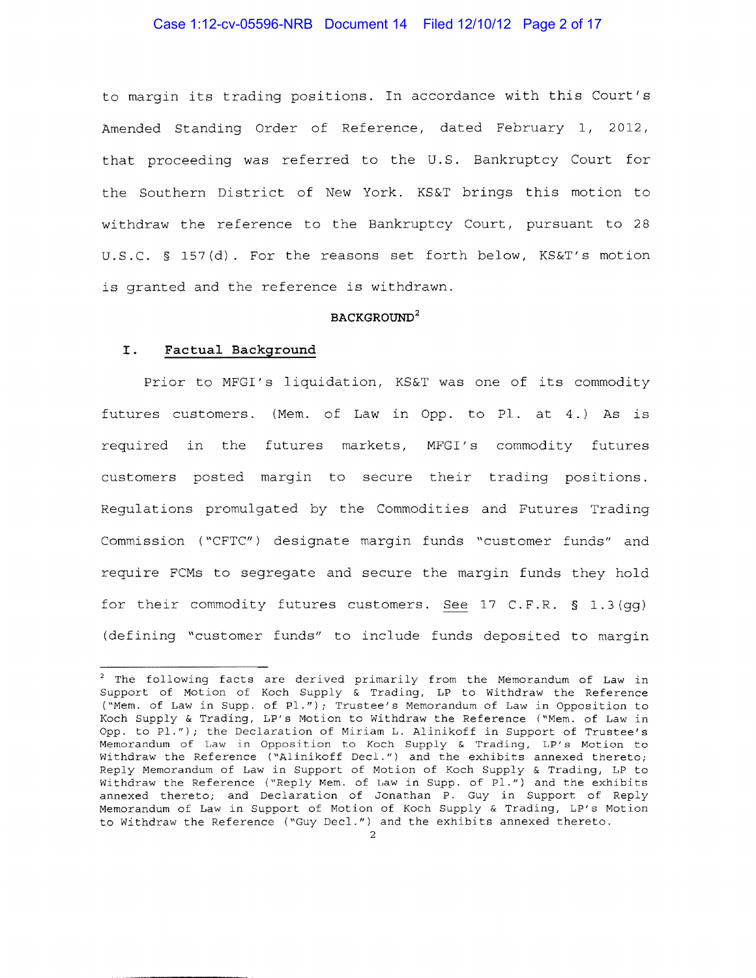## Case 1:12-cv-05596-NRB Document 14 Filed 12/10/12 Page 2 of 17

to margin its trading positions. In accordance with this Court's Amended Standing Order of Reference, dated February 1, 2012, that proceeding was referred to the U.S. Bankruptcy Court for the Southern District of New York. KS&T brings this motion to withdraw the reference to the Bankruptcy Court, pursuant to 28 U.S.C. § 157(d). For the reasons set forth below, KS&T's motion is granted and the reference is withdrawn.

## **BACKGROUND<sup>2</sup>**

#### I. **Factual Background**

Prior to MFGI's liquidation, KS&T was one of its commodity futures customers. (Mem. of Law in Opp. to Pl. at 4.) As is required in the futures markets, MFGI's commodity futures customers posted margin to secure their trading positions. Regulations promulgated by the Commodities and Futures Trading Commission ( "CFTC") designate margin funds "customer funds" and require FCMs to segregate and secure the margin funds they hold for their commodity futures customers. See 17 C.F.R. § 1.3(gg) (defining "customer funds" to include funds deposited to margin

<sup>2</sup> The following facts are derived primarily from the Memorandum of Law in Support of Motion of Koch Supply & Trading, LP to Withdraw the Reference ("Mem. of Law in Supp. of Pl."); Trustee's Memorandum of Law in Opposition to Koch Supply & Trading, LP's Motion to Withdraw the Reference ("Mem. of Law in Opp. to Pl."); the Declaration of Miriam L. Alinikoff in Support of Trustee's nt<br>Memorandum of Law in Opposition to Koch Supply & Trading, LP's Motion to Withdraw the Reference ("Alinikoff Decl.") and the exhibits annexed thereto; Reply Memorandum of Law in Support of Motion of Koch Supply & Trading, LP to Withdraw the Reference ("Reply Mem. of Law in Supp. of Pl.") and the exhibits annexed thereto; and Declaration of Jonathan P. Guy in Support of Reply Memorandum of Law in Support of Motion of Koch Supply & Trading, LP's Motion to Withdraw the Reference ("Guy Decl.") and the exhibits annexed thereto.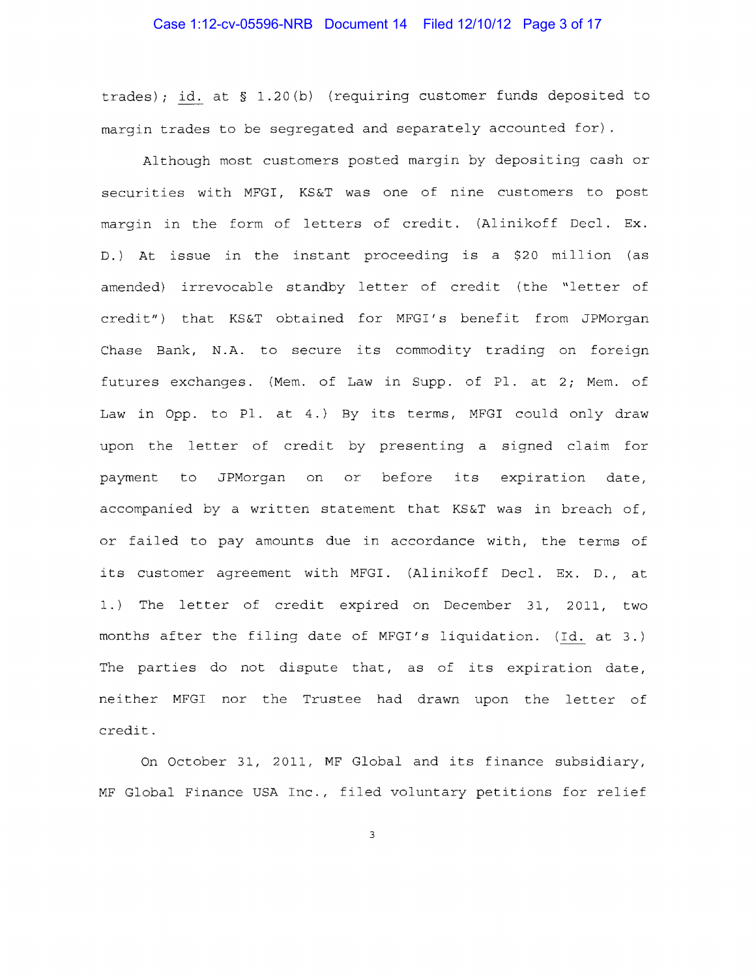trades); id. at  $\S$  1.20(b) (requiring customer funds deposited to margin trades to be segregated and separately accounted for).

Although most customers posted margin by depositing cash or securities with MFGI, KS&T was one of nine customers to post margin in the form of letters of credit. (Alinikoff Decl. Ex. D.) At issue in the instant proceeding is a \$20 million (as amended) irrevocable standby letter of credit (the "letter of credit") that KS&T obtained for MFGI's benefit from JPMorgan Chase Bank, N.A. to secure its commodity trading on foreign futures exchanges. (Mem. of Law in Supp. of Pl. at 2; Mem. of Law in Opp. to Pl. at 4.) By its terms, MFGI could only draw upon the letter of credit by presenting a signed claim for payment to JPMorgan on or before its expiration date, accompanied by a written statement that KS&T was in breach of, or failed to pay amounts due in accordance with, the terms of its customer agreement with MFGI. (Alinikoff Decl. Ex. D., at 1.) The letter of credit expired on December 31, 2011, two months after the filing date of MFGI's liquidation. (Id. at 3.) The parties do not dispute that, as of its expiration date, neither MFGI nor the Trustee had drawn upon the letter of credit.

On October 31, 2011, MF Global and its finance subsidiary, MF Global Finance USA Inc., filed voluntary petitions for relief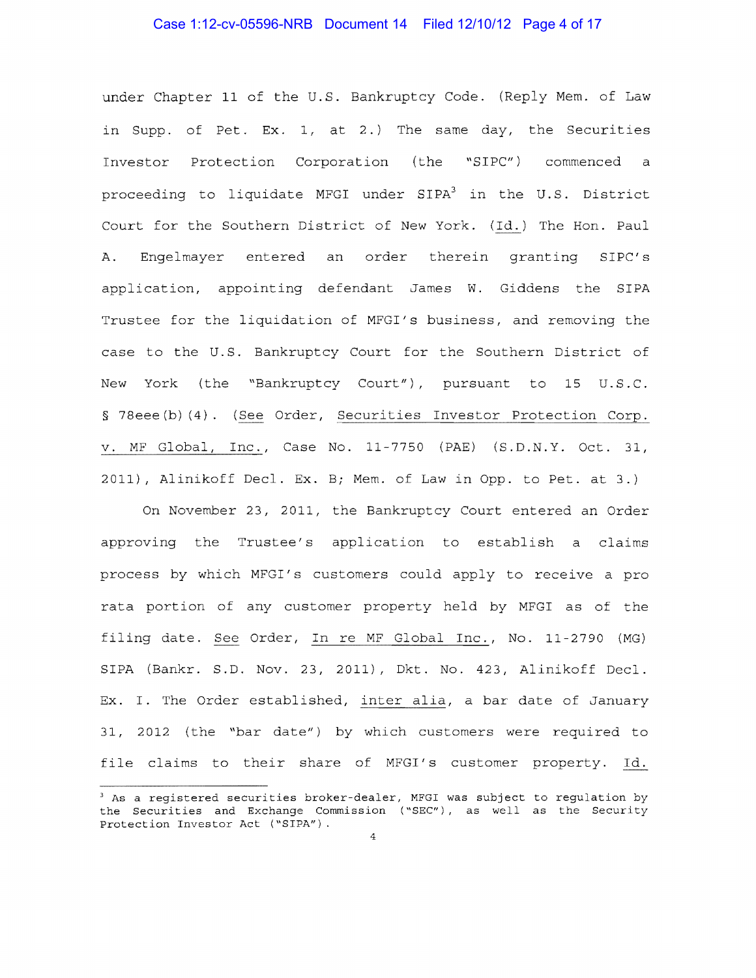# Case 1:12-cv-05596-NRB Document 14 Filed 12/10/12 Page 4 of 17

under Chapter 11 of the U.S. Bankruptcy Code. (Reply Mem. of Law in Supp. of Pet. Ex. 1, at 2.) The same day, the Securities Investor Protection Corporation (the "SIPC") commenced a proceeding to liquidate MFGI under SIPA<sup>3</sup> in the U.S. District Court for the Southern District of New York. (Id.) The Hon. Paul Α. Engelmayer entered an order therein granting SIPC's application, appointing defendant James W. Giddens the SIPA Trustee for the liquidation of MFGI's business, and removing the case to the U.S. Bankruptcy Court for the Southern District of New York (the "Bankruptcy Court"), pursuant to 15 U.S.C. § 78eee(b)(4). (See Order, Securities Investor Protection Corp. v. MF Global, Inc., Case No. 11-7750 (PAE) (S.D.N.Y. Oct. 31, 2011), Alinikoff Decl. Ex. B; Mem. of Law in Opp. to Pet. at 3.)

On November 23, 2011, the Bankruptcy Court entered an Order approving the Trustee's application to establish a claims process by which MFGI's customers could apply to receive a pro rata portion of any customer property held by MFGI as of the filing date. See Order, In re MF Global Inc., No. 11-2790 (MG) SIPA (Bankr. S.D. Nov. 23, 2011), Dkt. No. 423, Alinikoff Decl. Ex. I. The Order established, inter alia, a bar date of January 31, 2012 (the "bar date") by which customers were required to file claims to their share of MFGI's customer property. Id.

<sup>&</sup>lt;sup>3</sup> As a registered securities broker-dealer, MFGI was subject to regulation by the Securities and Exchange Commission ("SEC"), as well as the Security Protection Investor Act ("SIPA").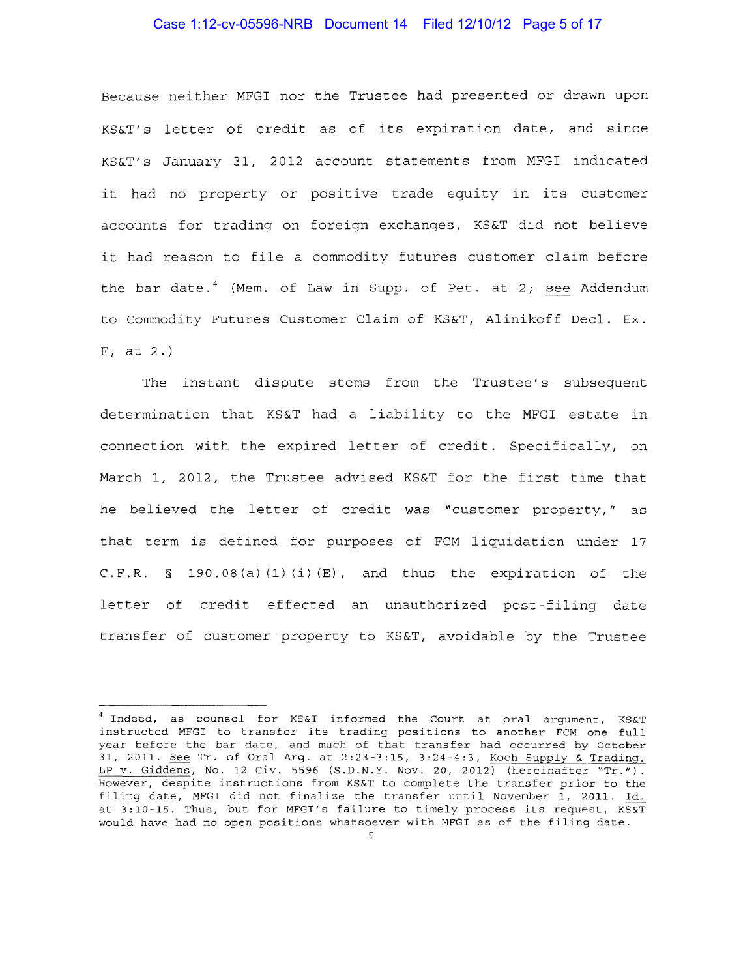#### Case 1:12-cv-05596-NRB Document 14 Filed 12/10/12 Page 5 of 17

Because neither MFGI nor the Trustee had presented or drawn upon KS&T's letter of credit as of its expiration date, and since KS&T' s January 31, 2012 account statements from MFGI indicated it had no property or positive trade equity in its customer accounts for trading on foreign exchanges, KS&T did not believe it had reason to file a commodity futures customer claim before the bar date.<sup>4</sup> (Mem. of Law in Supp. of Pet. at 2; see Addendum to Commodity Futures Customer Claim of KS&T, Alinikoff Decl. Ex. F, at 2.)

The instant dispute stems from the Trustee's subsequent determination that KS&T had a liability to the MFGI estate in connection with the expired letter of credit. Specifically, on March 1, 2012, the Trustee advised KS&T for the first time that he believed the letter of credit was "customer property," as that term is defined for purposes of FCM liquidation under 17 C.F.R. § 190.08(a) $(1)(i)(E)$ , and thus the expiration of the letter of credit effected an unauthorized post-filing date transfer of customer property to KS&T, avoidable by the Trustee

 $^4$  Indeed, as counsel for KS&T informed the Court at oral argument, KS&T instructed MFGI to transfer its trading positions to another FCM one full year before the bar date, and much of that transfer had occurred by October 31, 2011. See Tr. of Oral Arg. at  $2:23-3:15$ ,  $3:24-4:3$ , Koch Supply & Trading, LP v. Giddens, No. 12 Civ. 5596 (S.D.N.Y. Nov. 20, 2012) (hereinafter "Tr."). However, despite instructions from KS&T to complete the transfer prior to the filing date, MFGI did not finalize the transfer until November 1, 2011. Id. at 3:10-15. Thus, but for MFGI's failure to timely process its request, KS&T would have had no open positions whatsoever with MFGI as of the filing date.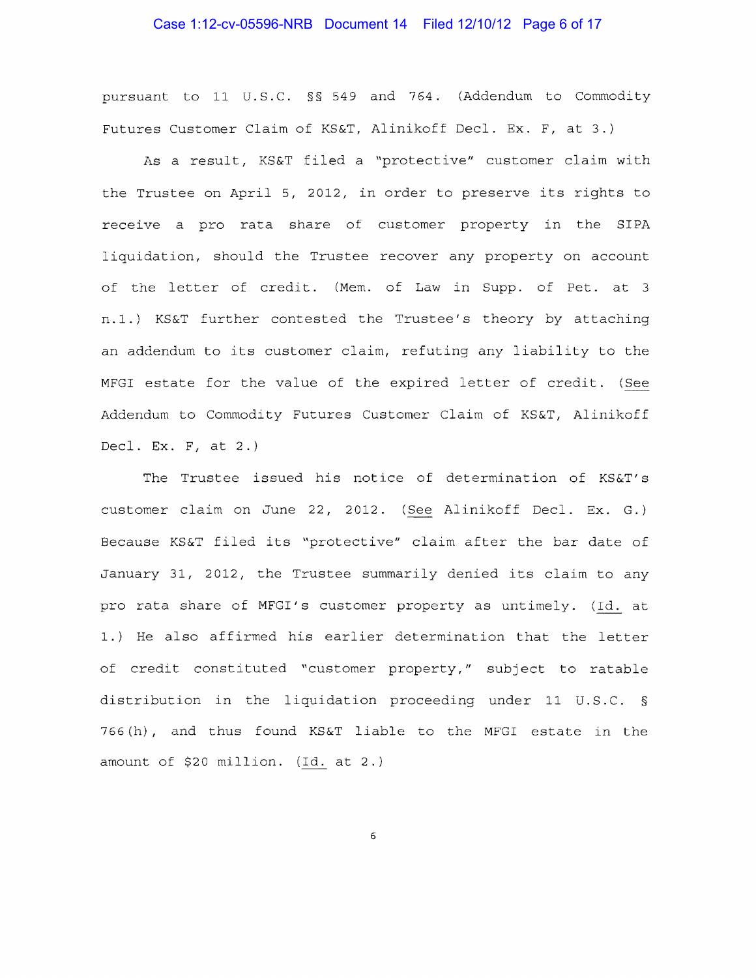# Case 1:12-cv-05596-NRB Document 14 Filed 12/10/12 Page 6 of 17

pursuant to 11 U.S.C. §§ 549 and 764. (Addendum to Commodity Futures Customer Claim of KS&T, Alinikoff Decl. Ex. F, at 3.)

As a result, KS&T filed a "protective" customer claim with the Trustee on April 5, 2012, in order to preserve its rights to receive a pro rata share of customer property in the SIPA liquidation, should the Trustee recover any property on account of the letter of credit. (Mem. of Law in Supp. of Pet. at 3 n.1.) KS&T further contested the Trustee's theory by attaching an addendum to its customer claim, refuting any liability to the MFGI estate for the value of the expired letter of credit. (See Addendum to Commodity Futures Customer Claim of KS&T, Alinikoff Decl. Ex. F, at 2.)

The Trustee issued his notice of determination of KS&T's customer claim on June 22, 2012. (See Alinikoff Decl. Ex. G.) Because KS&T filed its "protective" claim after the bar date of January 31, 2012, the Trustee summarily denied its claim to any pro rata share of MFGI's customer property as untimely. (Id. at 1.) He also affirmed his earlier determination that the letter of credit constituted "customer property," subject to ratable distribution in the liquidation proceeding under 11 U.S.C. § 766 (h) , and thus found KS&T liable to the MFGI estate in the amount of \$20 million. (Id. at 2.)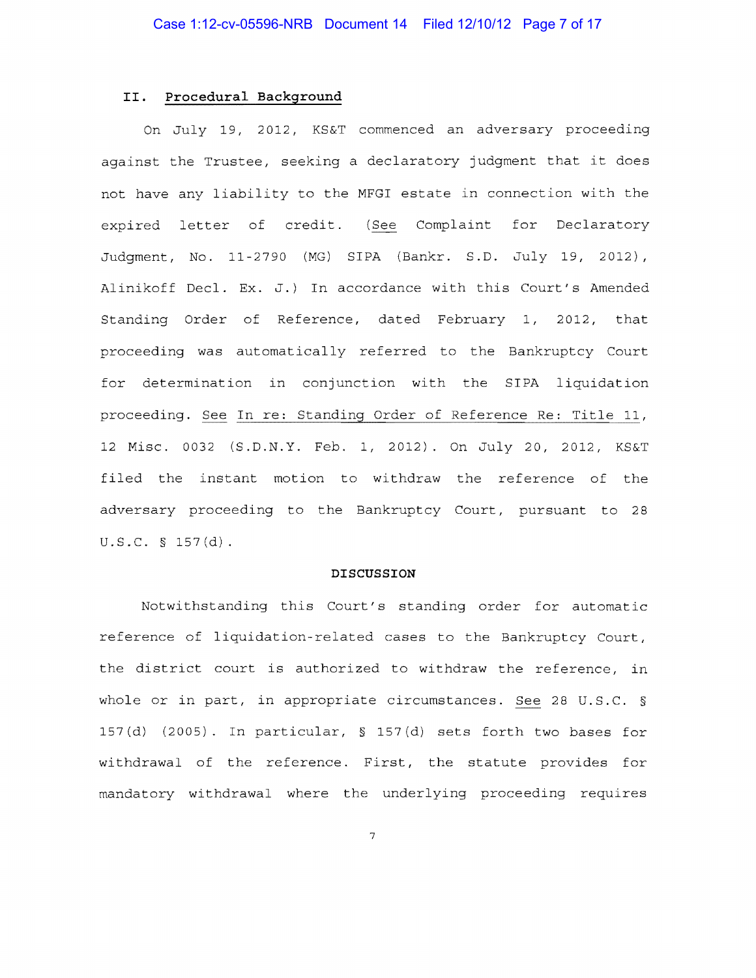## **II. Procedural Background**

On July 19, 2012, KS&T commenced an adversary proceeding against the Trustee, seeking a declaratory judgment that it does not have any liability to the MFGI estate in connection with the expired letter of credit. (See Complaint for Declaratory Judgment, No. 11 2790 (MG) SIPA (Bankr. S.D. July 19, 2012), Alinikoff Decl. Ex. J.) In accordance with this Court's Amended Standing Order of Reference, dated February 1, 2012, that proceeding was automatically referred to the Bankruptcy Court for determination in conjunction with the SIPA liquidation proceeding. See In re: Standing Order of Reference Re: Title 11, 12 Misc. 0032 (S.D.N.Y. Feb. 1, 2012). On July 20, 2012, KS&T filed the instant motion to withdraw the reference of the adversary proceeding to the Bankruptcy Court, pursuant to 28 u.s.c. § 157(d).

#### **DISCUSSION**

Notwithstanding this Court's standing order for automatic reference of liquidation-related cases to the Bankruptcy Court, the district court is authorized to withdraw the reference, in whole or in part, in appropriate circumstances. See 28 U.S.C. § 157 (d) (2005). In particular, § 157 (d) sets forth two bases for withdrawal of the reference. First, the statute provides for mandatory withdrawal where the underlying proceeding requires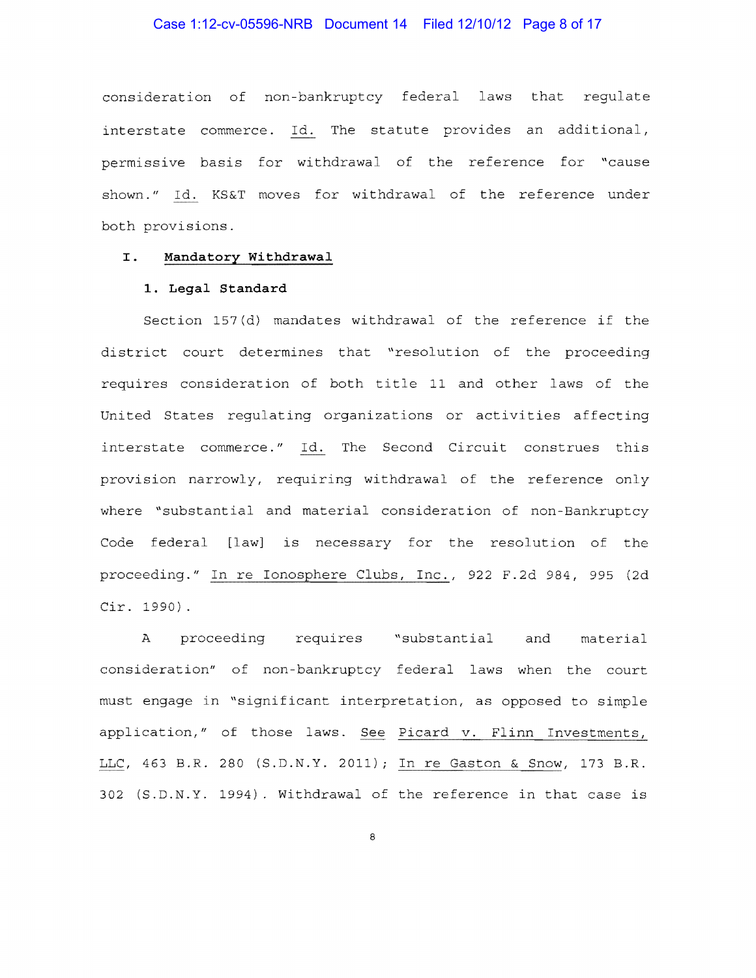# Case 1:12-cv-05596-NRB Document 14 Filed 12/10/12 Page 8 of 17

consideration of non-bankruptcy federal laws that regulate interstate commerce. Id. The statute provides an additional, permissive basis for withdrawal of the reference for "cause shown." Id. KS&T moves for withdrawal of the reference under both provisions.

## I. Mandatory Withdrawal

#### 1. Legal Standard

Section 157(d) mandates withdrawal of the reference if the district court determines that "resolution of the proceeding requires consideration of both title 11 and other laws of the United States regulating organizations or activities affecting interstate commerce." Id. The Second Circuit construes this provision narrowly, requiring withdrawal of the reference only where "substantial and material consideration of non-Bankruptcy Code federal [law] is necessary for the resolution of the proceeding." In re Ionosphere Clubs, Inc., 922 F.2d 984, 995 (2d  $Cir. 1990)$ .

 $\mathbf{A}$ proceeding requires "substantial and material consideration" of non-bankruptcy federal laws when the court must engage in "significant interpretation, as opposed to simple application," of those laws. See Picard v. Flinn Investments, LLC, 463 B.R. 280 (S.D.N.Y. 2011); In re Gaston & Snow, 173 B.R. 302 (S.D.N.Y. 1994). Withdrawal of the reference in that case is

 $\mathbf{8}$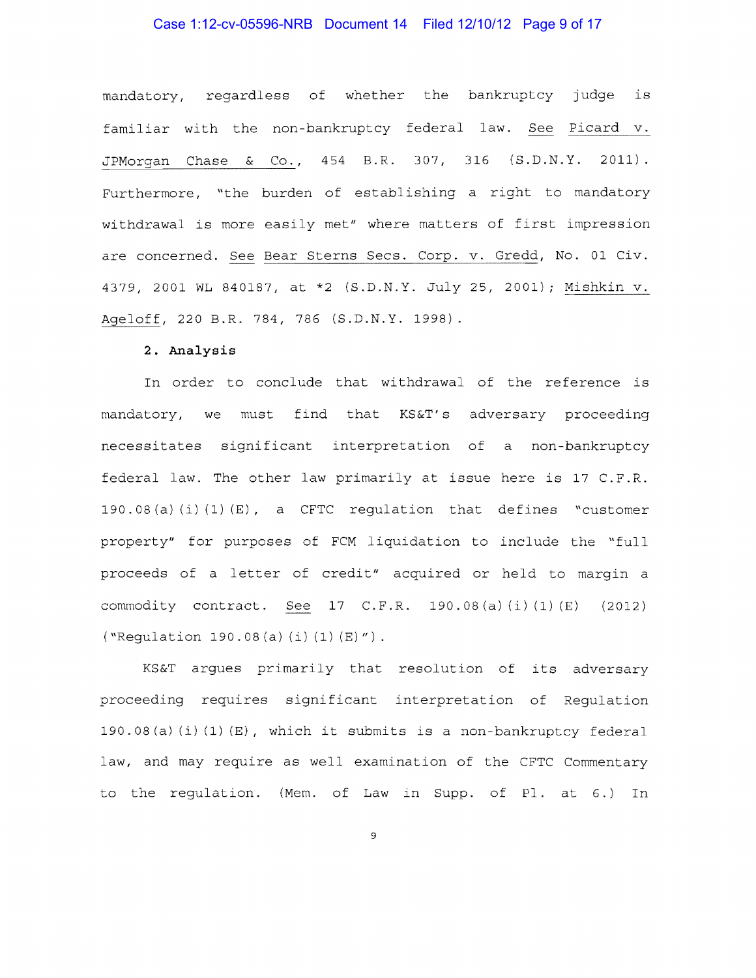# Case 1:12-cv-05596-NRB Document 14 Filed 12/10/12 Page 9 of 17

mandatory, regardless of whether the bankruptcy judge is familiar with the non-bankruptcy federal law. See Picard v. JPMorgan Chase & Co., 454 B.R. 307, 316 (S.D.N.Y. 2011). Furthermore, "the burden of establishing a right to mandatory withdrawal is more easily met" where matters of first impression are concerned. See Bear Sterns Secs. Corp. v. Gredd, No. 01 Civ. 4379, 2001 WL 840187, at \*2 (S.D.N.Y. July 25, 2001); Mishkin v. Ageloff, 220 B.R. 784, 786 (S.D.N.Y. 1998).

### 2. Analysis

In order to conclude that withdrawal of the reference is mandatory, we must find that KS&T's adversary proceeding necessitates significant interpretation of a non-bankruptcy federal law. The other law primarily at issue here is 17 C.F.R. 190.08(a)(i)(1)(E), a CFTC regulation that defines "customer property" for purposes of FCM liquidation to include the "full proceeds of a letter of credit" acquired or held to margin a commodity contract. See 17 C.F.R. 190.08(a)(i)(1)(E) (2012) ("Regulation 190.08(a)(i)(1)(E)").

KS&T argues primarily that resolution of its adversary proceeding requires significant interpretation of Regulation 190.08(a)(i)(1)(E), which it submits is a non-bankruptcy federal law, and may require as well examination of the CFTC Commentary to the regulation. (Mem. of Law in Supp. of Pl. at 6.) In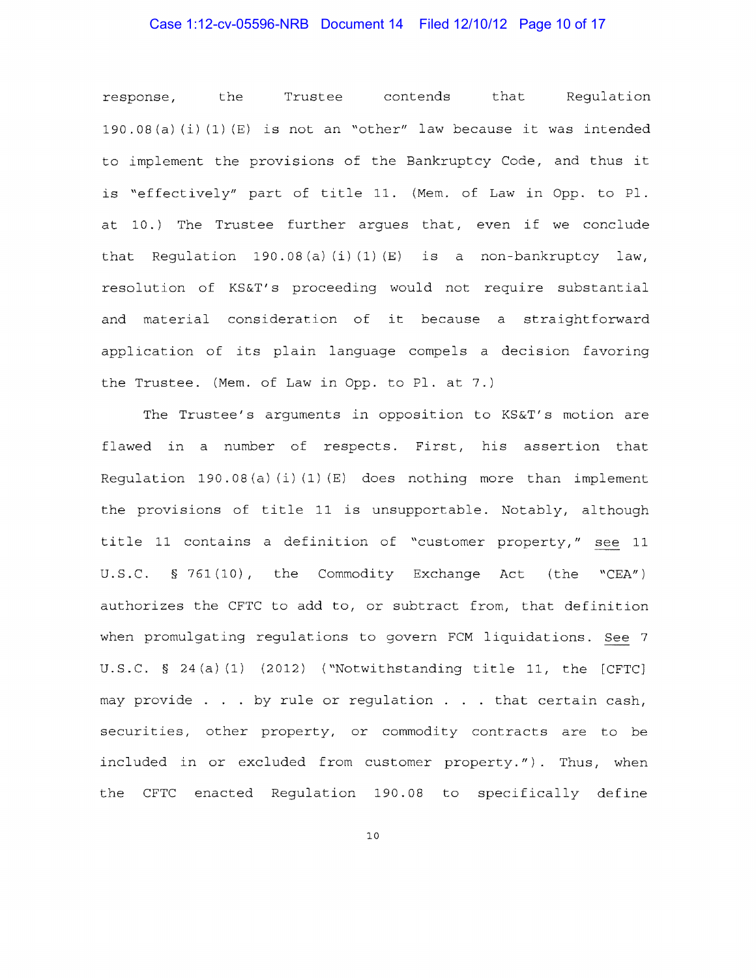## Case 1:12-cv-05596-NRB Document 14 Filed 12/10/12 Page 10 of 17

response, the Trustee contends that Regulation 190.08(a)(i)(1)(E) is not an "other" law because it was intended to implement the provisions of the Bankruptcy Code, and thus it is "effectively" part of title 11. (Mem. of Law in Opp. to Pl. at 10.) The Trustee further arques that, even if we conclude that Regulation 190.08(a)(i)(1)(E) is a non-bankruptcy law, resolution of KS&T's proceeding would not require substantial and material consideration of it because a straightforward application of its plain language compels a decision favoring the Trustee. (Mem. of Law in Opp. to Pl. at 7.)

The Trustee's arguments in opposition to KS&T's motion are flawed in a number of respects. First, his assertion that Requlation  $190.08(a)(i)(1)(E)$  does nothing more than implement the provisions of title 11 is unsupportable. Notably, although title 11 contains a definition of "customer property," see 11 U.S.C. § 761(10), the Commodity Exchange Act (the "CEA") authorizes the CFTC to add to, or subtract from, that definition when promulgating regulations to govern FCM liquidations. See 7 U.S.C.  $\S$  24(a)(1) (2012) ("Notwithstanding title 11, the [CFTC] may provide . . . by rule or regulation . . . that certain cash, securities, other property, or commodity contracts are to be included in or excluded from customer property."). Thus, when the CFTC enacted Regulation 190.08 to specifically define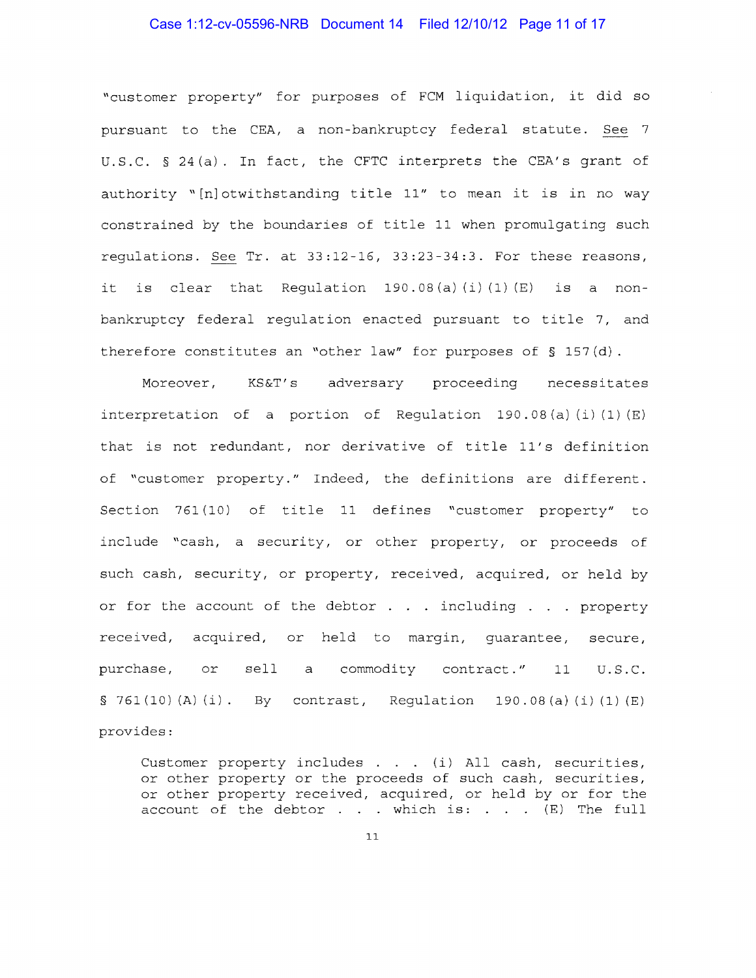# Case 1:12-cv-05596-NRB Document 14 Filed 12/10/12 Page 11 of 17

"customer property" for purposes of FCM liquidation, it did so pursuant to the CEA, a non-bankruptcy federal statute. See 7 U.S.C.  $\S 24(a)$ . In fact, the CFTC interprets the CEA's grant of authority "[n] otwithstanding title 11" to mean it is in no way constrained by the boundaries of title 11 when promulgating such regulations. See Tr. at 33:12 16, 33:23-34:3. For these reasons, it is clear that Requlation  $190.08(a)$  (i) (1) (E) is a nonbankruptcy federal regulation enacted pursuant to title 7, and therefore constitutes an "other law" for purposes of § 157(d).

Moreover, KS&T's adversary proceeding necessitates interpretation of a portion of Regulation  $190.08$  (a) (i) (1) (E) that is not redundant, nor derivative of title 11's definition of "customer property." Indeed, the definitions are different. Section 761(10) of title 11 defines "customer property" to include "cash, a security, or other property, or proceeds of such cash, security, or property, received, acquired, or held by or for the account of the debtor  $\ldots$  including  $\ldots$  property received, acquired, or held to margin, guarantee, secure, purchase, or sell a commodity contract." 11 U.S.C.  $\S$  761(10)(A)(i). By contrast, Regulation 190.08(a)(i)(1)(E) provides:

Customer property includes  $\ldots$  (i) All cash, securities, or other property or the proceeds of such cash, securities, or other property received, acquired, or held by or for the account of the debtor  $\dots$  which is:  $\dots$  (E) The full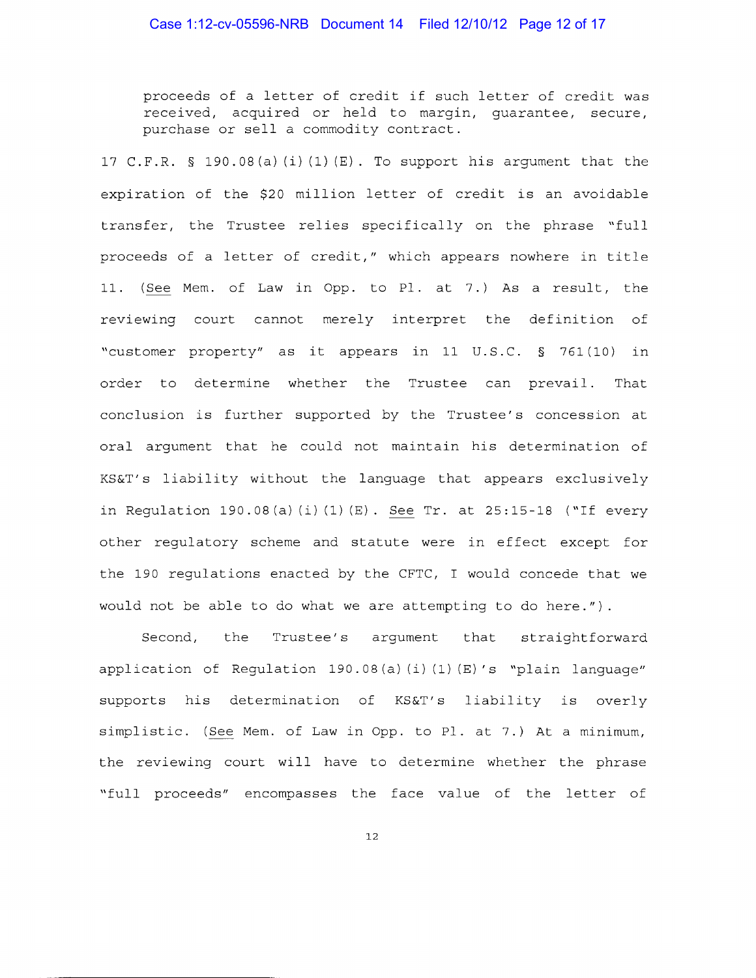proceeds of a letter of credit if such letter of credit was received, acquired or held to margin, guarantee, secure, purchase or sell a commodity contract.

17 C.F.R. § 190.08(a)(i)(1)(E). To support his argument that the expiration of the \$20 million letter of credit is an avoidable transfer, the Trustee relies specifically on the phrase "full proceeds of a letter of credit," which appears nowhere in title 11. (See Mem. of Law in Opp. to Pl. at 7.) As a result, the reviewing court cannot merely interpret the definition of "customer property" as it appears in 11 U.S.C. § 761(10) in order to determine whether the Trustee can prevail. That conclusion is further supported by the Trustee's concession at oral argument that he could not maintain his determination of KS&T' s liability without the language that appears exclusively in Regulation 190.08 (a) (i) (1) (E). See Tr. at 25:15-18 ("If every other regulatory scheme and statute were in effect except for the 190 regulations enacted by the CFTC, I would concede that we would not be able to do what we are attempting to do here.").

Second, the Trustee's argument that straightforward application of Requlation 190.08(a)(i)(1)(E)'s "plain language" supports his determination of KS&T's liability is overly simplistic. (See Mem. of Law in Opp. to Pl. at 7.) At a minimum, the reviewing court will have to determine whether the phrase "full proceeds" encompasses the face value of the letter of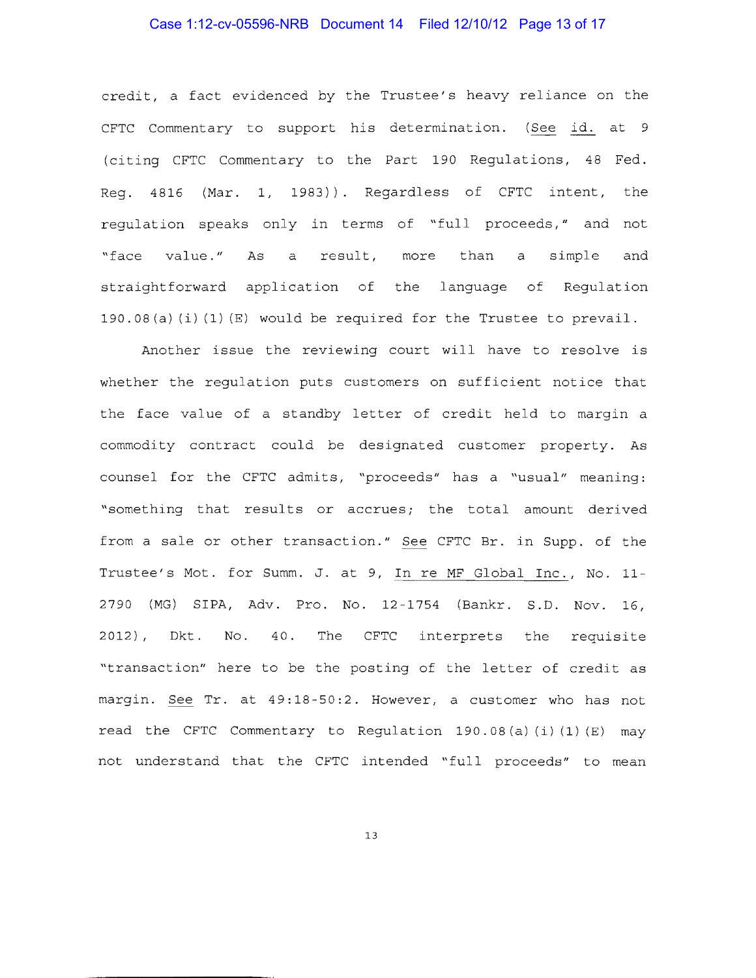# Case 1:12-cv-05596-NRB Document 14 Filed 12/10/12 Page 13 of 17

credit, a fact evidenced by the Trustee's heavy reliance on the CFTC Commentary to support his determination. (See id. at 9 (citing CFTC Commentary to the Part 190 Regulations, 48 Fed. Reg. 4816 (Mar. 1, 1983)) Regardless of CFTC intent, the regulation speaks only in terms of "full proceeds," and not "face value." As a result, more than a simple and straightforward application of the language of Regulation 190.08(a)(i)(1)(E) would be required for the Trustee to prevail.

Another issue the reviewing court will have to resolve is whether the regulation puts customers on sufficient notice that the face value of a standby letter of credit held to margin a commodity contract could be designated customer property. As counsel for the CFTC admits, "proceeds" has a "usual" meaning: "something that results or accrues; the total amount derived from a sale or other transaction." See CFTC Br. in Supp. of the Trustee's Mot. for Summ. J. at 9, In re MF Global Inc., No. 11 2790 (MG) SIPA, Adv. Pro. No. 12-1754 (Bankr. S.D. Nov. 16, 2012), Dkt. No. 40. The CFTC interprets the requisite "transaction" here to be the posting of the letter of credit as margin. See Tr. at 49:18-50:2. However, a customer who has not read the CFTC Commentary to Requlation 190.08(a)(i)(1)(E) may not understand that the CFTC intended "full proceeds" to mean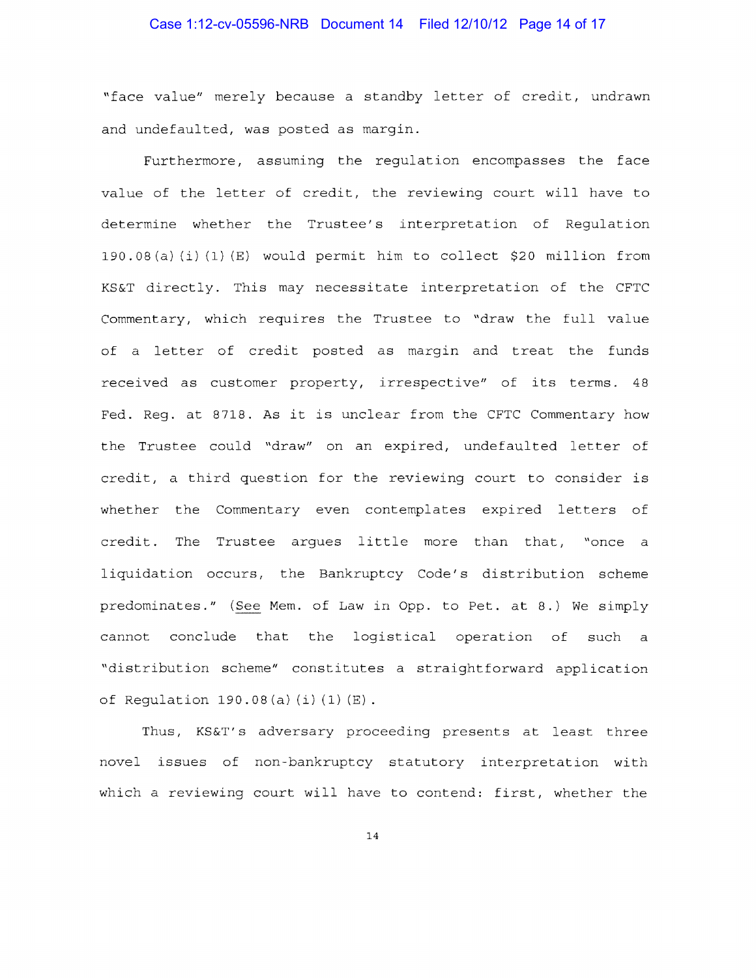# Case 1:12-cv-05596-NRB Document 14 Filed 12/10/12 Page 14 of 17

"face value" merely because a standby letter of credit, undrawn and undefaulted, was posted as margin.

Furthermore, assuming the regulation encompasses the face value of the letter of credit, the reviewing court will have to determine whether the Trustee's interpretation of Regulation 190.08(a)(i)(1)(E) would permit him to collect \$20 million from KS&T directly. This may necessitate interpretation of the CFTC Commentary, which requires the Trustee to "draw the full value of a letter of credit posted as margin and treat the funds received as customer property, irrespective" of its terms. 48 Fed. Reg. at 8718. As it is unclear from the CFTC Commentary how the Trustee could "draw" on an expired, undefaulted letter of credit, a third question for the reviewing court to consider is whether the Commentary even contemplates expired letters of credit. The Trustee argues little more than that, "once a liquidation occurs, the Bankruptcy Code's distribution scheme predominates." (See Mem. of Law in Opp. to Pet. at 8.) We simply cannot conclude that the logistical operation of such a "distribution scheme" constitutes a straightforward application of Requlation  $190.08(a) (i) (1) (E)$ .

Thus, KS&T's adversary proceeding presents at least three novel issues of non-bankruptcy statutory interpretation with which a reviewing court will have to contend: first, whether the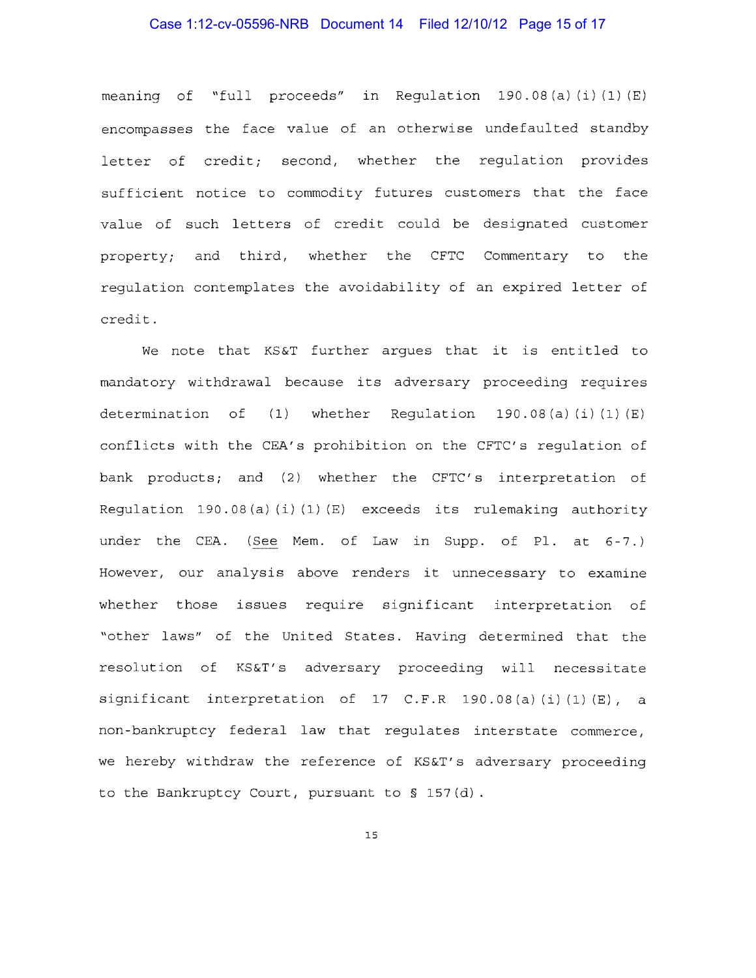## Case 1:12-cv-05596-NRB Document 14 Filed 12/10/12 Page 15 of 17

meaning of "full proceeds" in Regulation 190.08(a)(i)(1)(E) encompasses the face value of an otherwise undefaulted standby letter of credit; second, whether the regulation provides sufficient notice to commodity futures customers that the face value of such letters of credit could be designated customer property; and third, whether the CFTC Commentary to the regulation contemplates the avoidability of an expired letter of credit.

We note that KS&T further argues that it is entitled to mandatory withdrawal because its adversary proceeding requires determination of  $(1)$  whether Regulation 190.08 $(a)$   $(i)$   $(1)$   $(E)$ conflicts with the CEA's prohibition on the CFTC's regulation of bank products; and (2) whether the CFTC's interpretation of Regulation 190.08 (a) (i) (1) (E) exceeds its rulemaking authority under the CEA. (See Mem. of Law in Supp. of Pl. at 6-7.) However, our analysis above renders it unnecessary to examine whether those issues require significant interpretation of "other laws" of the United States. Having determined that the resolution of KS&T's adversary proceeding will necessitate  $significant$  interpretation of 17 C.F.R 190.08(a)(i)(1)(E), a non-bankruptcy federal law that regulates interstate commerce, we hereby withdraw the reference of KS&T's adversary proceeding to the Bankruptcy Court, pursuant to§ 157(d).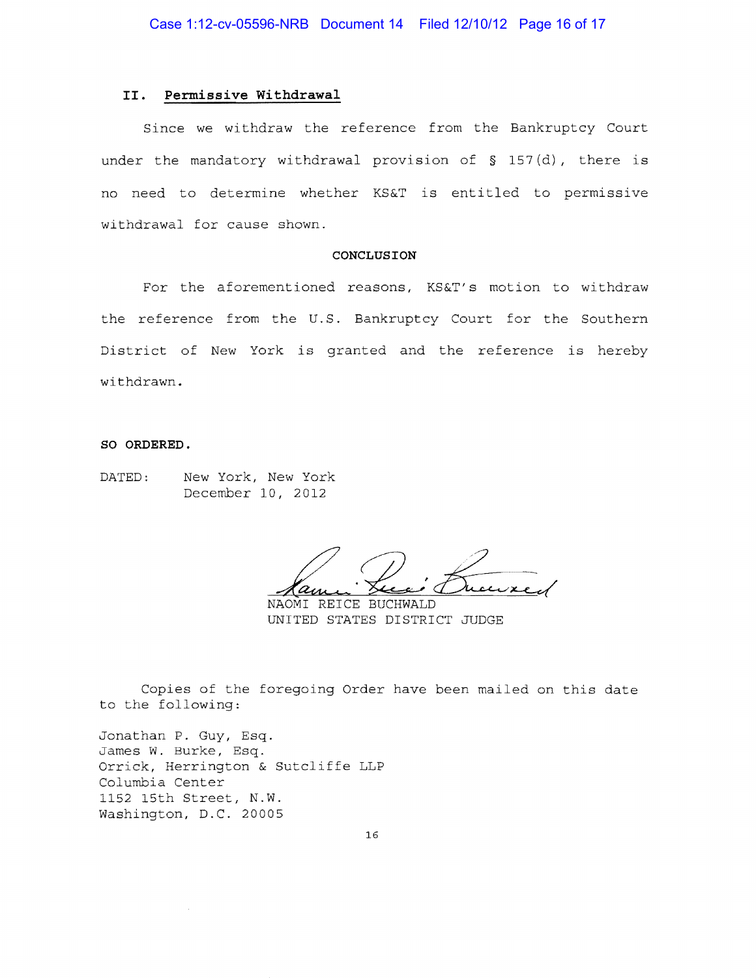# II. Permissive Withdrawal

Since we withdraw the reference from the Bankruptcy Court under the mandatory withdrawal provision of  $\S$  157(d), there is no need to determine whether KS&T is entitled to permissive withdrawal for cause shown.

#### CONCLUSION

For the aforementioned reasons, KS&T's motion to withdraw the reference from the U.S. Bankruptcy Court for the Southern District of New York is granted and the reference is hereby withdrawn.

#### SO ORDERED.

DATED: New York, New York December 10, 2012

 $\alpha_{\mu}$ 

NAOMI REICE BUCHWALD UNITED STATES DISTRICT JUDGE

Copies of the foregoing Order have been mailed on this date to the following:

Jonathan P. Guy, Esq. James W. Burke, Esq. Orrick, Herrington & Sutcliffe LLP Columbia Center 1152 15th Street, N.W. Washington, D.C. 20005